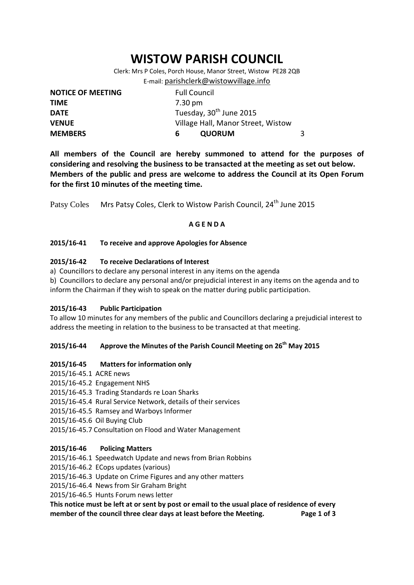# **WISTOW PARISH COUNCIL**

Clerk: Mrs P Coles, Porch House, Manor Street, Wistow PE28 2QB E-mail: [parishclerk@wistowvillage.info](mailto:parishclerk@wistowvillage.info)

| <b>NOTICE OF MEETING</b> | <b>Full Council</b>                 |   |
|--------------------------|-------------------------------------|---|
| <b>TIME</b>              | 7.30 pm                             |   |
| <b>DATE</b>              | Tuesday, 30 <sup>th</sup> June 2015 |   |
| <b>VENUE</b>             | Village Hall, Manor Street, Wistow  |   |
| <b>MEMBERS</b>           | <b>QUORUM</b><br>6.                 | 3 |

**All members of the Council are hereby summoned to attend for the purposes of considering and resolving the business to be transacted at the meeting as set out below. Members of the public and press are welcome to address the Council at its Open Forum for the first 10 minutes of the meeting time.**

Patsy Coles Mrs Patsy Coles, Clerk to Wistow Parish Council, 24<sup>th</sup> June 2015

# **A G E N D A**

# **2015/16-41 To receive and approve Apologies for Absence**

# **2015/16-42 To receive Declarations of Interest**

- a) Councillors to declare any personal interest in any items on the agenda
- b) Councillors to declare any personal and/or prejudicial interest in any items on the agenda and to inform the Chairman if they wish to speak on the matter during public participation.

#### **2015/16-43 Public Participation**

To allow 10 minutes for any members of the public and Councillors declaring a prejudicial interest to address the meeting in relation to the business to be transacted at that meeting.

# **2015/16-44 Approve the Minutes of the Parish Council Meeting on 26 th May 2015**

#### **2015/16-45 Matters for information only**

- 2015/16-45.1 ACRE news
- 2015/16-45.2 Engagement NHS
- 2015/16-45.3 Trading Standards re Loan Sharks
- 2015/16-45.4 Rural Service Network, details of their services
- 2015/16-45.5 Ramsey and Warboys Informer
- 2015/16-45.6 Oil Buying Club
- 2015/16-45.7 Consultation on Flood and Water Management

#### **2015/16-46 Policing Matters**

- 2015/16-46.1 Speedwatch Update and news from Brian Robbins
- 2015/16-46.2 ECops updates (various)
- 2015/16-46.3 Update on Crime Figures and any other matters
- 2015/16-46.4 News from Sir Graham Bright

2015/16-46.5 Hunts Forum news letter

**This notice must be left at or sent by post or email to the usual place of residence of every member of the council three clear days at least before the Meeting. Page 1 of 3**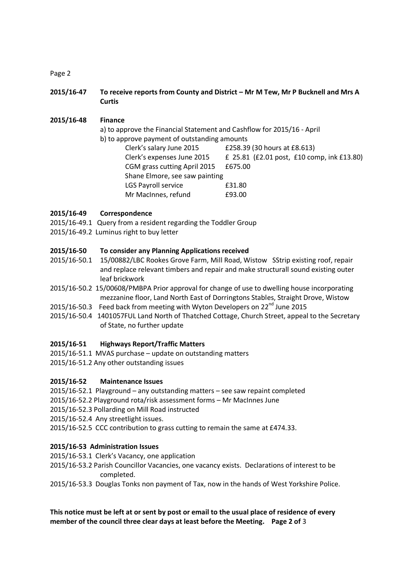Page 2

**2015/16-47 To receive reports from County and District – Mr M Tew, Mr P Bucknell and Mrs A Curtis**

**2015/16-48 Finance** a) to approve the Financial Statement and Cashflow for 2015/16 - April b) to approve payment of outstanding amounts Clerk's salary June 2015 £258.39 (30 hours at £8.613) Clerk's expenses June 2015 £ 25.81 (£2.01 post, £10 comp, ink £13.80) CGM grass cutting April 2015 £675.00 Shane Elmore, see saw painting LGS Payroll service E31.80 Mr MacInnes, refund **E93.00** 

# **2015/16-49 Correspondence**

- 2015/16-49.1 Query from a resident regarding the Toddler Group
- 2015/16-49.2 Luminus right to buy letter

#### **2015/16-50 To consider any Planning Applications received**

- 2015/16-50.1 15/00882/LBC Rookes Grove Farm, Mill Road, Wistow SStrip existing roof, repair and replace relevant timbers and repair and make structurall sound existing outer leaf brickwork
- 2015/16-50.2 15/00608/PMBPA Prior approval for change of use to dwelling house incorporating mezzanine floor, Land North East of Dorringtons Stables, Straight Drove, Wistow
- 2015/16-50.3 Feed back from meeting with Wyton Developers on 22<sup>nd</sup> June 2015
- 2015/16-50.4 1401057FUL Land North of Thatched Cottage, Church Street, appeal to the Secretary of State, no further update

#### **2015/16-51 Highways Report/Traffic Matters**

- 2015/16-51.1 MVAS purchase update on outstanding matters
- 2015/16-51.2 Any other outstanding issues

#### **2015/16-52 Maintenance Issues**

- 2015/16-52.1 Playground any outstanding matters see saw repaint completed
- 2015/16-52.2 Playground rota/risk assessment forms Mr MacInnes June
- 2015/16-52.3 Pollarding on Mill Road instructed
- 2015/16-52.4 Any streetlight issues.
- 2015/16-52.5 CCC contribution to grass cutting to remain the same at £474.33.

#### **2015/16-53 Administration Issues**

- 2015/16-53.1 Clerk's Vacancy, one application
- 2015/16-53.2 Parish Councillor Vacancies, one vacancy exists. Declarations of interest to be completed.
- 2015/16-53.3 Douglas Tonks non payment of Tax, now in the hands of West Yorkshire Police.

# **This notice must be left at or sent by post or email to the usual place of residence of every member of the council three clear days at least before the Meeting. Page 2 of** 3